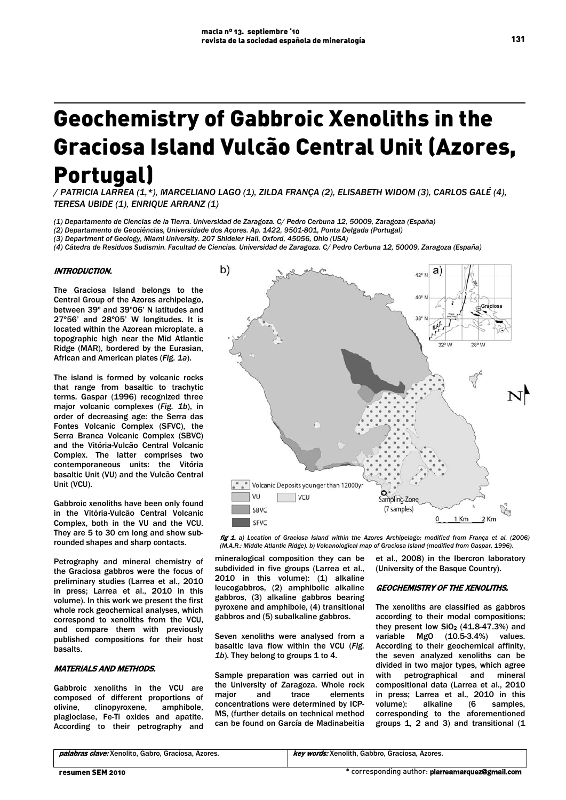# Geochemistry of Gabbroic Xenoliths in the Graciosa Island Vulcão Central Unit (Azores, Portugal)

*/ PATRICIA LARREA (1,\*), MARCELIANO LAGO (1), ZILDA FRANÇA (2), ELISABETH WIDOM (3), CARLOS GALÉ (4), TERESA UBIDE (1), ENRIQUE ARRANZ (1)*

*(1) Departamento de Ciencias de la Tierra. Universidad de Zaragoza. C/ Pedro Cerbuna 12, 50009, Zaragoza (España)*

*(2) Departamento de Geociências, Universidade dos Açores. Ap. 1422, 9501-801, Ponta Delgada (Portugal)* 

*(3) Department of Geology, Miami University. 207 Shideler Hall, Oxford, 45056, Ohio (USA)*

*(4) Cátedra de Residuos Sudismin. Facultad de Ciencias. Universidad de Zaragoza. C/ Pedro Cerbuna 12, 50009, Zaragoza (España)* 

#### INTRODUCTION.

The Graciosa Island belongs to the Central Group of the Azores archipelago, between 39º and 39º06' N latitudes and 27º56' and 28º05' W longitudes. It is located within the Azorean microplate, a topographic high near the Mid Atlantic Ridge (MAR), bordered by the Eurasian, African and American plates (*Fig. 1a*).

The island is formed by volcanic rocks that range from basaltic to trachytic terms. Gaspar (1996) recognized three major volcanic complexes (*Fig. 1b*), in order of decreasing age: the Serra das Fontes Volcanic Complex (SFVC), the Serra Branca Volcanic Complex (SBVC) and the Vitória-Vulcão Central Volcanic Complex. The latter comprises two contemporaneous units: the Vitória basaltic Unit (VU) and the Vulcão Central Unit (VCU).

Gabbroic xenoliths have been only found in the Vitória-Vulcão Central Volcanic Complex, both in the VU and the VCU. They are 5 to 30 cm long and show subrounded shapes and sharp contacts.

Petrography and mineral chemistry of the Graciosa gabbros were the focus of preliminary studies (Larrea et al., 2010 in press; Larrea et al., 2010 in this volume). In this work we present the first whole rock geochemical analyses, which correspond to xenoliths from the VCU, and compare them with previously published compositions for their host basalts.

### MATERIALS AND METHODS.

Gabbroic xenoliths in the VCU are composed of different proportions of olivine, clinopyroxene, amphibole, plagioclase, Fe-Ti oxides and apatite. According to their petrography and



fig 1. *a) Location of Graciosa Island within the Azores Archipelago; modified from França et al. (2006) (M.A.R.: Middle Atlantic Ridge). b) Volcanological map of Graciosa Island (modified from Gaspar, 1996).*

mineralogical composition they can be subdivided in five groups (Larrea et al., 2010 in this volume): (1) alkaline leucogabbros, (2) amphibolic alkaline gabbros, (3) alkaline gabbros bearing pyroxene and amphibole, (4) transitional gabbros and (5) subalkaline gabbros.

Seven xenoliths were analysed from a basaltic lava flow within the VCU (*Fig.*  1b). They belong to groups 1 to 4.

Sample preparation was carried out in the University of Zaragoza. Whole rock major and trace elements concentrations were determined by ICP-MS, (further details on technical method can be found on García de Madinabeitia et al., 2008) in the Ibercron laboratory (University of the Basque Country).

## GEOCHEMISTRY OF THE XENOLITHS.

The xenoliths are classified as gabbros according to their modal compositions; they present low  $SiO<sub>2</sub>$  (41.8-47.3%) and variable MgO (10.5-3.4%) values. According to their geochemical affinity, the seven analyzed xenoliths can be divided in two major types, which agree with petrographical and mineral compositional data (Larrea et al., 2010 in press; Larrea et al., 2010 in this volume): alkaline (6 samples, corresponding to the aforementioned groups 1, 2 and 3) and transitional (1